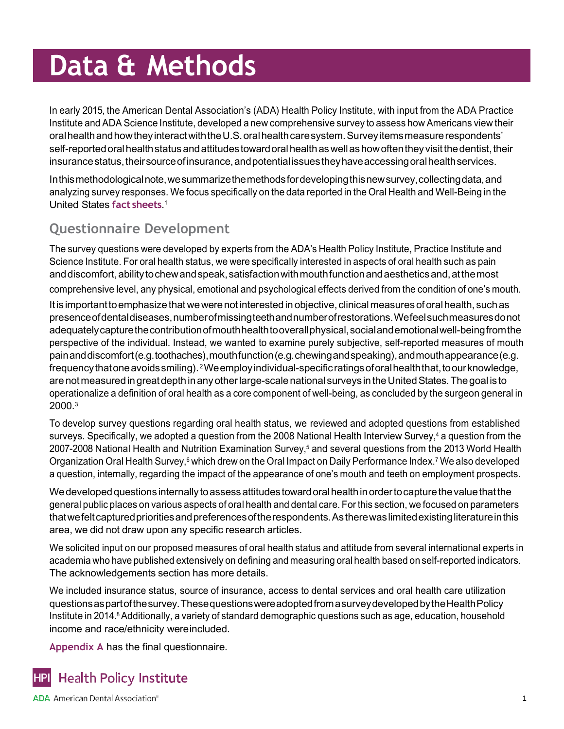Oral Health and Well-Being in the United States

In early 2015, the American Dental Association's (ADA) Health Policy Institute, with input from the ADA Practice Institute and ADA Science Institute, developed a new comprehensive survey to assess how Americans view their oral health and how they interact with the U.S. oral health care system. Survey items measure respondents' self-reported oral health status and attitudes toward oral health as well as how often they visit the dentist, their insurance status, their source of insurance, and potential issues they have accessing oral health services.

Inthismethodologicalnote,wesummarizethemethodsfordevelopingthisnewsurvey,collectingdata,and analyzing survey responses. We focus specifically on the data reported in the Oral Health and Well-Being in the United States **fact [sheets](hhttps://www.ada.org/resources/research/health-policy-institute/coverage-access-outcomes/oral-health-and-well-being.)**. 1

### **Questionnaire Development**

The survey questions were developed by experts from the ADA's Health Policy Institute, Practice Institute and Science Institute. For oral health status, we were specifically interested in aspects of oral health such as pain and discomfort, ability to chew and speak, satisfaction with mouth function and aesthetics and, at the most

comprehensive level, any physical, emotional and psychological effects derived from the condition of one's mouth.

It is important to emphasize that we were not interested in objective, clinical measures of oral health, such as presenceofdentaldiseases,numberofmissingteethandnumberofrestorations.Wefeelsuchmeasuresdonot adequatelycapturethecontributionofmouthhealthtooverallphysical,socialandemotionalwell-beingfromthe perspective of the individual. Instead, we wanted to examine purely subjective, self-reported measures of mouth painanddiscomfort(e.g.toothaches),mouthfunction(e.g.chewingandspeaking),andmouthappearance(e.g. frequency that one avoids smiling). <sup>2</sup>We employ individual-specific ratings of oral health that, to our knowledge, are notmeasuredin greatdepth inany otherlarge-scale national surveys intheUnitedStates.Thegoal is to operationalize a definition of oral health as a core component of well-being, as concluded by the surgeon general in 2000.<sup>3</sup>

To develop survey questions regarding oral health status, we reviewed and adopted questions from established surveys. Specifically, we adopted a question from the 2008 National Health Interview Survey,<sup>4</sup> a question from the 2007-2008 National Health and Nutrition Examination Survey,<sup>5</sup> and several questions from the 2013 World Health Organization Oral Health Survey,<sup>6</sup> which drew on the Oral Impact on Daily Performance Index.<sup>7</sup> We also developed a question, internally, regarding the impact of the appearance of one's mouth and teeth on employment prospects.

We developed questions internally to assess attitudes toward oral health in order to capture the value that the general public places on various aspects of oral health and dental care. For this section, we focused on parameters that we felt captured priorities and preferences of the respondents. As there was limited existing literature in this area, we did not draw upon any specific research articles.

We solicited input on our proposed measures of oral health status and attitude from several international experts in academia who have published extensively on defining and measuring oral health based on self-reported indicators. The acknowledgements section has more details.

We included insurance status, source of insurance, access to dental services and oral health care utilization questionsaspartofthesurvey.ThesequestionswereadoptedfromasurveydevelopedbytheHealthPolicy Institute in 2014.<sup>8</sup> Additionally, a variety of standard demographic questions such as age, education, household income and race/ethnicity wereincluded.

**Appendix A** has the final questionnaire.

#### **Health Policy Institute HPI**

**ADA** American Dental Association<sup>®</sup>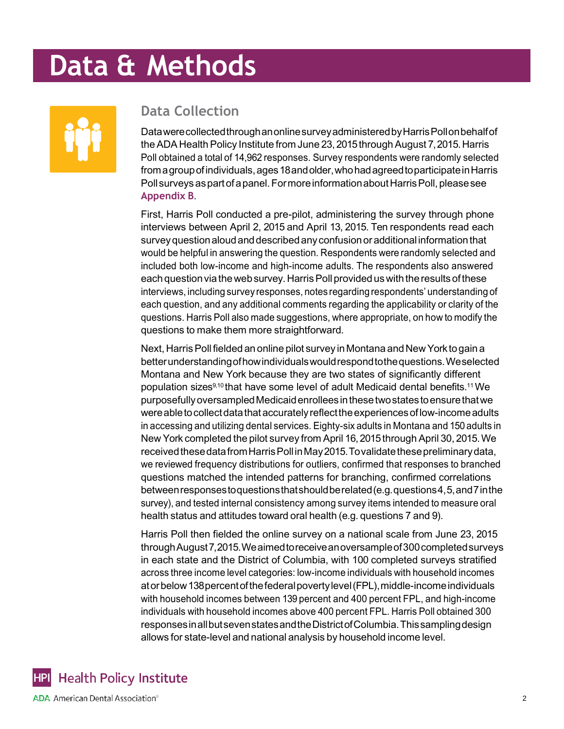Oral Health and Well-Being in the United States



### **Data Collection**

DatawerecollectedthroughanonlinesurveyadministeredbyHarrisPollonbehalfof the ADA Health Policy Institute from June 23, 2015 through August 7, 2015. Harris Poll obtained a total of 14,962 responses. Survey respondents were randomly selected from a group of individuals, ages 18 and older, who had agreed to participate in Harris Poll surveys as part of a panel. For more information about Harris Poll, please see **Appendix B**.

First, Harris Poll conducted a pre-pilot, administering the survey through phone interviews between April 2, 2015 and April 13, 2015. Ten respondents read each surveyquestionaloudanddescribedanyconfusionoradditional informationthat would be helpful in answering the question. Respondents were randomly selected and included both low-income and high-income adults. The respondents also answered each question via the web survey. Harris Poll provided us with the results of these interviews, including survey responses, notes regarding respondents' understanding of each question, and any additional comments regarding the applicability or clarity of the questions. Harris Poll also made suggestions, where appropriate, on how to modify the questions to make them more straightforward.

Next, Harris Poll fielded an online pilot survey in Montana and New York to gain a betterunderstandingofhowindividualswouldrespondtothequestions.Weselected Montana and New York because they are two states of significantly different population sizes9,10 that have some level of adult Medicaid dental benefits.11 We purposefullyoversampledMedicaidenrolleesinthesetwostatestoensurethatwe wereabletocollectdatathataccuratelyreflecttheexperiencesoflow-incomeadults in accessing and utilizing dental services. Eighty-six adults in Montana and 150 adults in New York completed the pilot survey from April 16,2015through April 30, 2015.We received these data from Harris Poll in May 2015. To validate these preliminary data, we reviewed frequency distributions for outliers, confirmed that responses to branched questions matched the intended patterns for branching, confirmed correlations betweenresponsestoquestionsthatshouldberelated(e.g.questions4,5,and7inthe survey), and tested internal consistency among survey items intended to measure oral health status and attitudes toward oral health (e.g. questions 7 and 9).

Harris Poll then fielded the online survey on a national scale from June 23, 2015 throughAugust7,2015.Weaimedtoreceiveanoversampleof300completedsurveys in each state and the District of Columbia, with 100 completed surveys stratified across three income level categories: low-income individuals with household incomes atorbelow138percentofthefederalpovertylevel(FPL),middle-incomeindividuals with household incomes between 139 percent and 400 percent FPL, and high-income individuals with household incomes above 400 percent FPL. Harris Poll obtained 300 responsesinallbutsevenstatesandtheDistrictofColumbia.Thissamplingdesign allows for state-level and national analysis by household income level.

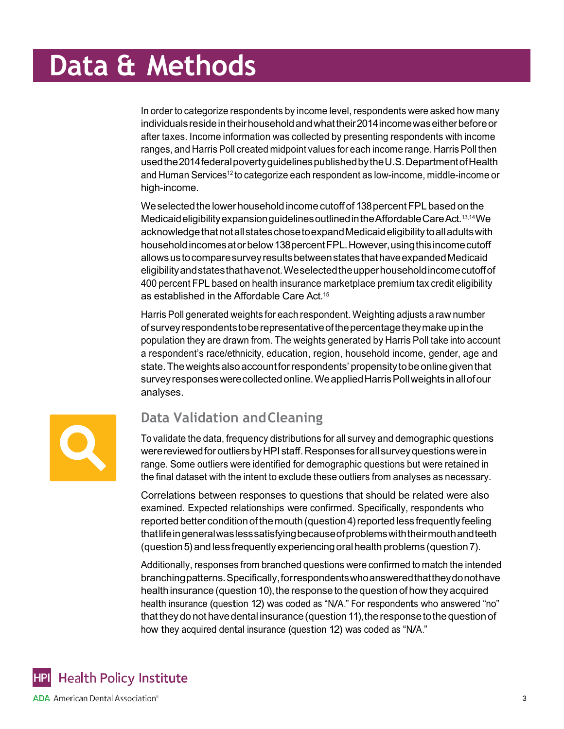Oral Health and Well-Being in the United States

In order to categorize respondents by income level, respondents were asked how many individuals reside in their household and what their 2014 income was either before or after taxes. Income information was collected by presenting respondents with income ranges, and Harris Poll created midpoint values for each income range. Harris Poll then usedthe2014federalpovertyguidelinespublishedbytheU.S.DepartmentofHealth and Human Services<sup>12</sup> to categorize each respondent as low-income, middle-income or high-income.

We selected the lower household income cutoff of 138 percent FPL based on the MedicaideligibilityexpansionguidelinesoutlinedintheAffordableCareAct.13,14We acknowledge that not all states chose to expand Medicaid eligibility to all adults with household incomes at or below 138 percent FPL. However, using this income cutoff allowsustocomparesurveyresultsbetweenstatesthathaveexpandedMedicaid eligibilityandstatesthathavenot.Weselectedtheupperhouseholdincomecutoffof 400 percent FPL based on health insurance marketplace premium tax credit eligibility as established in the Affordable Care Act.<sup>15</sup>

Harris Poll generated weights for each respondent. Weighting adjusts a raw number ofsurveyrespondentstoberepresentativeofthepercentagetheymakeupinthe population they are drawn from. The weights generated by Harris Poll take into account a respondent's race/ethnicity, education, region, household income, gender, age and state. The weights also account for respondents' propensity to be online given that survey responses were collected online. We applied Harris Poll weights in all of our analyses.



### **Data Validation andCleaning**

To validate the data, frequency distributions for all survey and demographic questions were reviewed for outliers by HPI staff. Responses for all survey questions were in range. Some outliers were identified for demographic questions but were retained in the final dataset with the intent to exclude these outliers from analyses as necessary.

Correlations between responses to questions that should be related were also examined. Expected relationships were confirmed. Specifically, respondents who reported better condition of the mouth (question 4) reported less frequently feeling thatlifeingeneralwaslesssatisfyingbecauseofproblemswiththeirmouthandteeth (question5)andless frequently experiencing oralhealth problems (question7).

Additionally, responses from branched questions were confirmed to match the intended branchingpatterns.Specifically,forrespondentswhoansweredthattheydonothave health insurance (question 10), the response to the question of how they acquired health insurance (question 12) was coded as "N/A." For respondents who answered "no" thattheydo not havedental insurance(question 11),theresponsetothequestion of how they acquired dental insurance (question 12) was coded as "N/A."

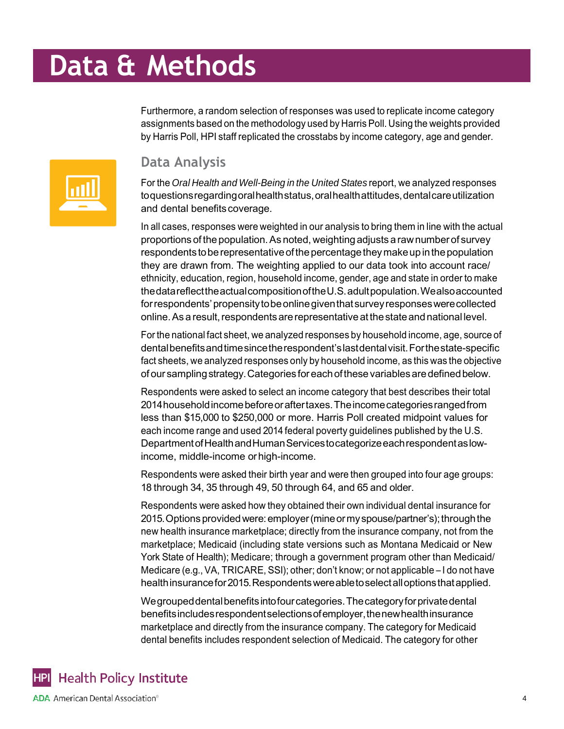Oral Health and Well-Being in the United States

Furthermore, a random selection of responses was used to replicate income category assignments based on the methodology used by Harris Poll. Using the weights provided by Harris Poll, HPI staff replicated the crosstabs by income category, age and gender.



### **Data Analysis**

For the *Oral Health and Well-Being in the United States* report, we analyzed responses toquestions regarding oral health status, oral health attitudes, dental care utilization and dental benefits coverage.

In all cases, responses were weighted in our analysis to bring them in line with the actual proportions of the population. As noted, weighting adjusts a raw number of survey respondents to be representative of the percentage they make up in the population they are drawn from. The weighting applied to our data took into account race/ ethnicity, education, region, household income, gender, age and state in order to make thedatareflecttheactualcompositionoftheU.S.adultpopulation.Wealsoaccounted forrespondents'propensitytobeonlinegiventhatsurveyresponseswerecollected online. As a result, respondents are representative at the state and national level.

Forthe national fact sheet, we analyzed responses by household income, age, source of dentalbenefitsandtimesincetherespondent'slastdentalvisit.Forthestate-specific fact sheets, we analyzed responses only by household income, as this was the objective ofoursamplingstrategy.Categories foreachofthesevariablesaredefinedbelow.

Respondents were asked to select an income category that best describes their total 2014householdincomebeforeoraftertaxes.Theincomecategoriesrangedfrom less than \$15,000 to \$250,000 or more. Harris Poll created midpoint values for each income range and used 2014 federal poverty guidelines published by the U.S. DepartmentofHealthandHumanServicestocategorizeeachrespondentaslowincome, middle-income orhigh-income.

Respondents were asked their birth year and were then grouped into four age groups: 18 through 34, 35 through 49, 50 through 64, and 65 and older.

Respondents were asked how they obtained their own individual dental insurance for 2015. Options provided were: employer (mine or my spouse/partner's); through the new health insurance marketplace; directly from the insurance company, not from the marketplace; Medicaid (including state versions such as Montana Medicaid or New York State of Health); Medicare; through a government program other than Medicaid/ Medicare (e.g.,VA, TRICARE, SSI); other; don't know; or not applicable – I do not have healthinsurancefor2015.Respondentswereabletoselectalloptionsthatapplied.

Wegrouped dental benefits into four categories. The category for private dental benefitsincludesrespondentselectionsofemployer,thenewhealthinsurance marketplace and directly from the insurance company. The category for Medicaid dental benefits includes respondent selection of Medicaid. The category for other

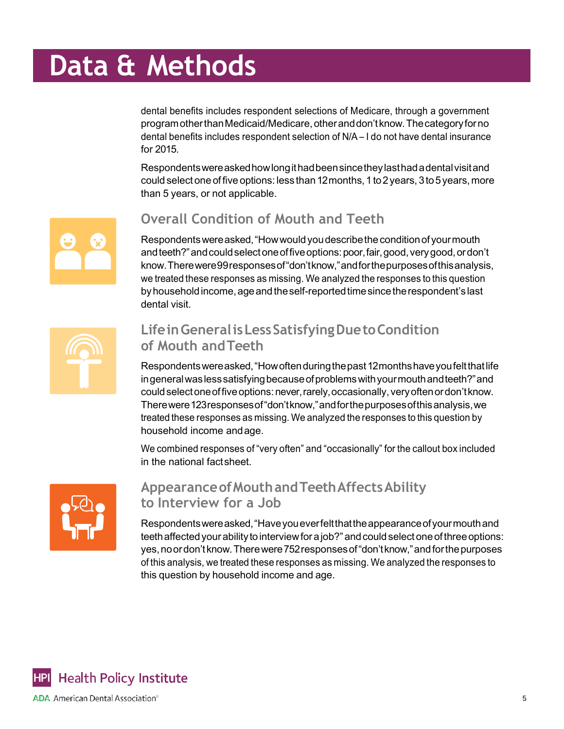Oral Health and Well-Being in the United States

dental benefits includes respondent selections of Medicare, through a government programotherthanMedicaid/Medicare,otheranddon'tknow.Thecategoryforno dental benefits includes respondent selection of N/A – I do not have dental insurance for 2015.

Respondentswereaskedhowlongithadbeensincetheylasthadadentalvisitand could select one of five options: less than 12 months, 1 to 2 years, 3 to 5 years, more than 5 years, or not applicable.



### **Overall Condition of Mouth and Teeth**

Respondents were asked, "How would you describe the condition of your mouth andteeth?"andcouldselectoneoffiveoptions:poor,fair,good,verygood,ordon't know.Therewere99responsesof"don'tknow,"andforthepurposesofthisanalysis, we treated these responses as missing. We analyzed the responses to this question by household income, age and the self-reported time since the respondent's last dental visit.



### **LifeinGeneralisLessSatisfyingDuetoCondition of Mouth andTeeth**

Respondentswereasked,"Howoftenduringthepast12monthshaveyoufeltthatlife ingeneral was less satisfying because of problems with your mouth and teeth?" and couldselectoneoffiveoptions:never,rarely,occasionally,veryoftenordon'tknow. Therewere123responsesof"don'tknow,"andforthepurposesofthisanalysis,we treated these responses as missing. We analyzed the responses to this question by household income andage.

We combined responses of "very often" and "occasionally" for the callout box included in the national factsheet.



### **AppearanceofMouthandTeethAffectsAbility to Interview for a Job**

Respondentswereasked,"Haveyoueverfeltthattheappearanceofyourmouthand teeth affected your ability to interview for a job?" and could select one of three options: yes,noordon'tknow.Therewere752responsesof"don'tknow,"andforthepurposes of this analysis, we treated these responses as missing. We analyzed the responses to this question by household income and age.

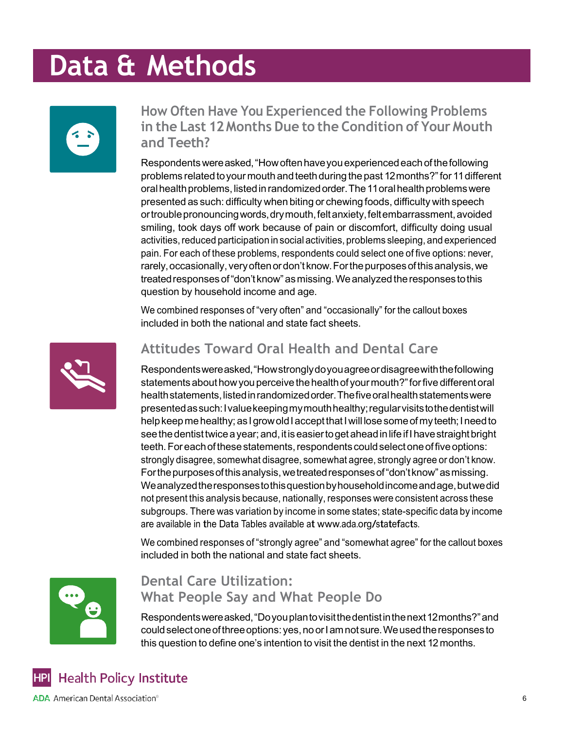Oral Health and Well-Being in the United States



### **How Often Have You Experienced the Following Problems in the Last 12Months Due to the Condition of Your Mouth and Teeth?**

Respondentswereasked,"Howoftenhaveyouexperiencedeachofthefollowing problems related toyourmouth andteethduring the past 12months?"for 11different oral health problems, listed in randomized order. The 11 oral health problems were presented as such: difficulty when biting or chewing foods, difficulty with speech ortrouble pronouncing words, dry mouth, felt anxiety, felt embarrassment, avoided smiling, took days off work because of pain or discomfort, difficulty doing usual activities, reduced participation in social activities, problems sleeping, and experienced pain. For each of these problems, respondents could select one of five options: never, rarely, occasionally, very often or don't know. For the purposes of this analysis, we treatedresponsesof"don't know"asmissing.Weanalyzedtheresponsestothis question by household income and age.

We combined responses of "very often" and "occasionally" for the callout boxes included in both the national and state fact sheets.



### **Attitudes Toward Oral Health and Dental Care**

Respondentswereasked,"Howstronglydoyouagreeordisagreewiththefollowing statements about how you perceive the health of your mouth?" for five different oral health statements, listed in randomized order. The five oral health statements were presentedassuch:Ivaluekeepingmymouthhealthy;regularvisitstothedentistwill help keep me healthy; as I grow old I accept that I will lose some of my teeth; I need to see the dentist twice a year; and, it is easier to get ahead in life if I have straight bright teeth. For each of these statements, respondents could select one of five options: strongly disagree, somewhat disagree, somewhat agree, strongly agree or don't know. Forthepurposesofthisanalysis,wetreatedresponsesof"don'tknow"asmissing. Weanalyzedtheresponsestothisquestionbyhouseholdincomeandage,butwedid not present this analysis because, nationally, responses were consistent across these subgroups. There was variation by income in some states; state-specific data by income are available in the Data Tables available at [www.ada.org/statefacts.](http://www.ada.org/statefacts)

We combined responses of "strongly agree" and "somewhat agree" for the callout boxes included in both the national and state fact sheets.



### **Dental Care Utilization: What People Say and What People Do**

Respondentswereasked,"Doyouplantovisitthedentistinthenext12months?"and couldselectoneofthreeoptions:yes,noorIamnotsure.Weusedtheresponsesto this question to define one's intention to visit the dentist in the next 12months.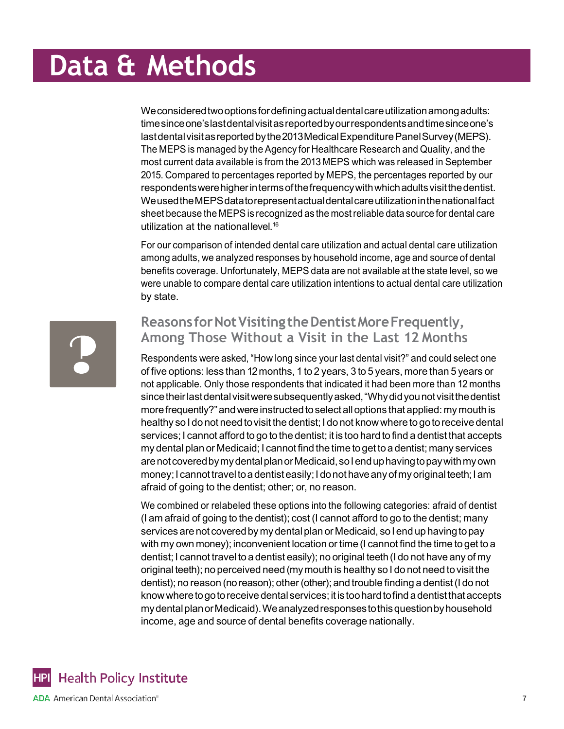Oral Health and Well-Being in the United States

Weconsideredtwooptionsfordefiningactualdentalcareutilizationamongadults: timesinceone'slastdentalvisitasreportedbyourrespondentsandtimesinceone's last dental visit as reported by the 2013 Medical Expenditure Panel Survey (MEPS). The MEPS is managed by the Agency for Healthcare Research and Quality, and the most current data available is from the 2013 MEPS which was released in September 2015. Compared to percentages reported by MEPS, the percentages reported by our respondentswerehigherintermsofthefrequencywithwhichadultsvisitthedentist. WeusedtheMEPSdatatorepresentactualdentalcareutilizationinthenationalfact sheet because the MEPS is recognized as the most reliable data source for dental care utilization at the nationallevel.<sup>16</sup>

For our comparison of intended dental care utilization and actual dental care utilization among adults, we analyzed responses by household income, age and source of dental benefits coverage. Unfortunately, MEPS data are not available at the state level, so we were unable to compare dental care utilization intentions to actual dental care utilization by state.



### **Reasons forNotVisitingtheDentistMoreFrequently, Among Those Without a Visit in the Last 12 Months**

Respondents were asked, "How long since your last dental visit?" and could select one of five options: less than 12months, 1 to 2 years, 3 to 5 years, more than 5 years or not applicable. Only those respondents that indicated it had been more than 12 months since their last dental visit were subsequently asked, "Why did you not visit the dentist more frequently?" and were instructed to select all options that applied: my mouth is healthy so I do not need to visit the dentist; I do not know where to go to receive dental services; I cannot afford to go to the dentist; it is too hard to find a dentist that accepts my dental plan or Medicaid; I cannot find the time to get to a dentist; many services arenotcoveredbymydentalplanorMedicaid,soIenduphavingtopaywithmyown money; I cannot travel to a dentist easily; I do not have any of my original teeth; I am afraid of going to the dentist; other; or, no reason.

We combined or relabeled these options into the following categories: afraid of dentist (I am afraid of going to the dentist); cost (I cannot afford to go to the dentist; many services are not covered by my dental plan or Medicaid, so I end up having to pay with my own money); inconvenient location or time (I cannot find the time to get to a dentist; I cannot travel to a dentist easily); no original teeth (I do not have any of my original teeth); no perceived need (mymouth is healthy so I do not need to visit the dentist); no reason (no reason); other (other); and trouble finding a dentist(I do not know where to go to receive dental services; it is too hard to find a dentist that accepts mydentalplanorMedicaid).Weanalyzedresponsestothisquestionbyhousehold income, age and source of dental benefits coverage nationally.

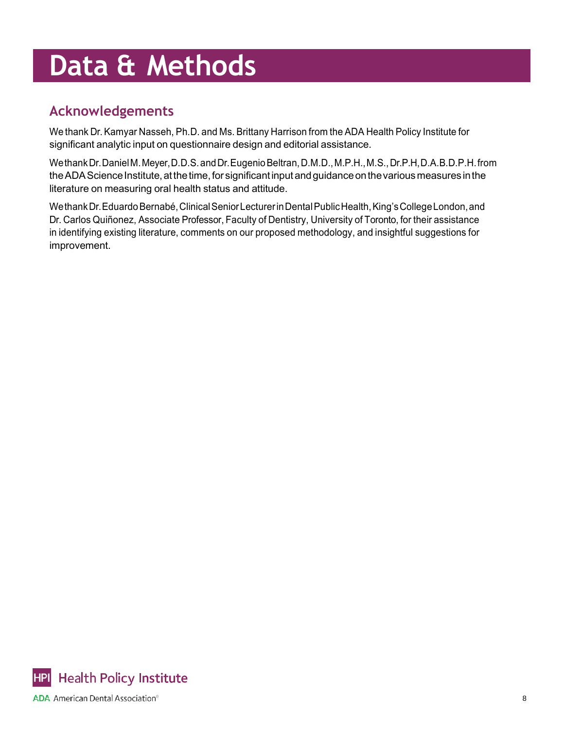## **Acknowledgements**

We thank Dr.Kamyar Nasseh, Ph.D. and Ms. Brittany Harrison from the ADA Health Policy Institute for significant analytic input on questionnaire design and editorial assistance.

WethankDr.DanielM.Meyer,D.D.S.andDr.EugenioBeltran,D.M.D.,M.P.H.,M.S.,Dr.P.H,D.A.B.D.P.H.from the ADA Science Institute, at the time, for significant input and guidance on the various measures in the literature on measuring oral health status and attitude.

Wethank Dr. Eduardo Bernabé, Clinical Senior Lecturer in Dental Public Health, King's College London, and Dr. Carlos Quiñonez, Associate Professor, Faculty of Dentistry, University of Toronto, for their assistance in identifying existing literature, comments on our proposed methodology, and insightful suggestions for improvement.

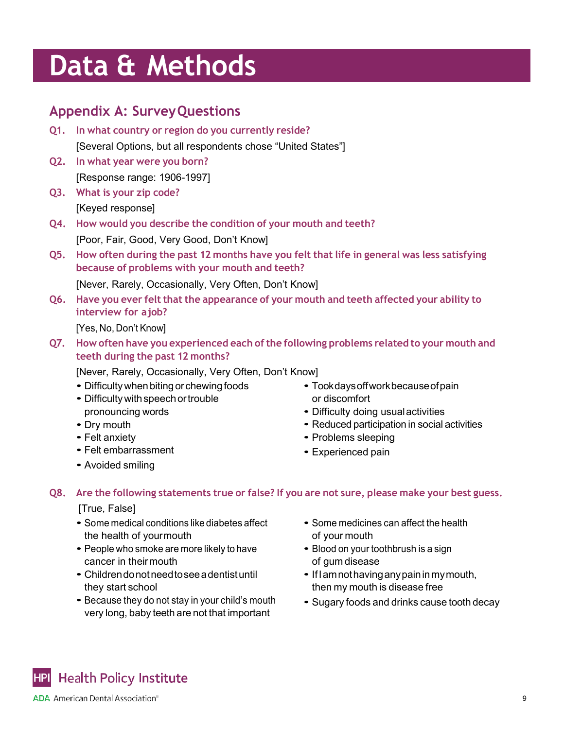Oral Health and Well-Being in the United States

### **Appendix A: SurveyQuestions**

- **Q1. In what country or region do you currently reside?** [Several Options, but all respondents chose "United States"]
- **Q2. In what year were you born?** [Response range: 1906-1997]
- **Q3. What is your zip code?** [Keyed response]
- **Q4. How would you describe the condition of your mouth and teeth?**

[Poor, Fair, Good, Very Good, Don't Know]

**Q5. How often during the past 12 months have you felt that life in general was less satisfying because of problems with your mouth and teeth?**

[Never, Rarely, Occasionally, Very Often, Don't Know]

**Q6. Have you ever felt that the appearance of your mouth and teeth affected your ability to interview for ajob?**

[Yes, No, Don't Know]

**Q7. How often have you experienced each ofthe following problems related to your mouth and teeth during the past 12 months?**

[Never, Rarely, Occasionally, Very Often, Don't Know]

- Difficulty when biting or chewing foods
- Difficulty with speech or trouble pronouncing words
- Dry mouth
- Felt anxiety
- Felt embarrassment
- Avoided smiling
- Tookdaysoffworkbecauseofpain or discomfort
- Difficulty doing usualactivities
- Reduced participation in social activities
- Problems sleeping
- Experienced pain

**Q8. Are the following statements true or false? If you are not sure, please make your best guess.**

[True, False]

- Some medical conditions like diabetes affect the health of yourmouth
- People who smoke are more likely to have cancer in theirmouth
- Childrendonotneedtoseeadentistuntil they start school
- Because they do not stay in your child's mouth very long, baby teeth are not that important
- Some medicines can affect the health of your mouth
- Blood on your toothbrush is a sign of gum disease
- IfIamnothavinganypaininmymouth, then my mouth is disease free
- Sugary foods and drinks cause tooth decay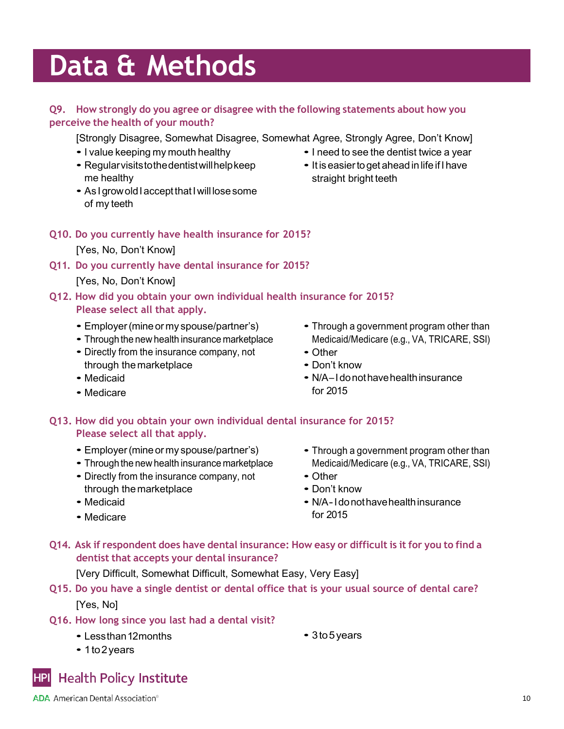Oral Health and Well-Being in the United States

#### **Q9. How strongly do you agree or disagree with the following statements about how you perceive the health of your mouth?**

[Strongly Disagree, Somewhat Disagree, Somewhat Agree, Strongly Agree, Don't Know]

- <sup>I</sup> value keeping my mouth healthy
- Regularvisitstothedentistwillhelpkeep me healthy
- As I grow old I accept that I will lose some of my teeth
- **Q10. Do you currently have health insurance for 2015?**

[Yes, No, Don't Know]

**Q11. Do you currently have dental insurance for 2015?**

#### [Yes, No, Don't Know]

**Q12. How did you obtain your own individual health insurance for 2015? Please select all that apply.**

- Employer (mine or my spouse/partner's)
- Through the new health insurance marketplace
- Directly from the insurance company, not through the marketplace
- Medicaid
- Medicare
- Through <sup>a</sup> government program other than Medicaid/Medicare (e.g., VA, TRICARE, SSI)
- Other
- Don't know
- N/A-I do not have health insurance for 2015

#### **Q13. How did you obtain your own individual dental insurance for 2015? Please select all that apply.**

- Employer(mine or my spouse/partner's)
- Through the new health insurance marketplace
- Directly from the insurance company, not through the marketplace
- Medicaid
- Medicare
- Through <sup>a</sup> government program other than Medicaid/Medicare (e.g., VA, TRICARE, SSI)
- Other
- Don't know
- N/A-Idonothavehealthinsurance for 2015
- Q14. Ask if respondent does have dental insurance: How easy or difficult is it for you to find a **dentist that accepts your dental insurance?**

[Very Difficult, Somewhat Difficult, Somewhat Easy, Very Easy]

- **Q15. Do you have a single dentist or dental office that is your usual source of dental care?** [Yes, No]
- **Q16. How long since you last had a dental visit?**
	- Lessthan 12 months

• 3to5years

• 1to2years

**Health Policy Institute HPI** 

## • <sup>I</sup> need to see the dentist twice <sup>a</sup> year

• It is easier to get ahead in life if I have straight bright teeth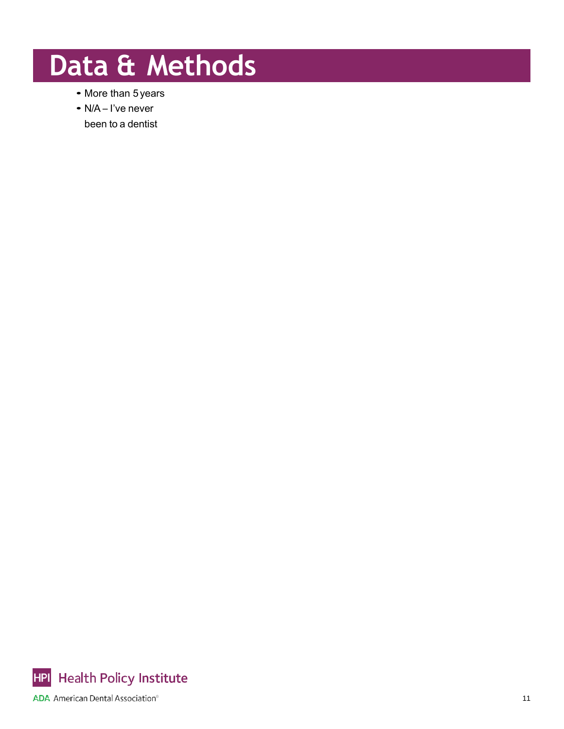- More than 5years
- N/A I've never been to a dentist

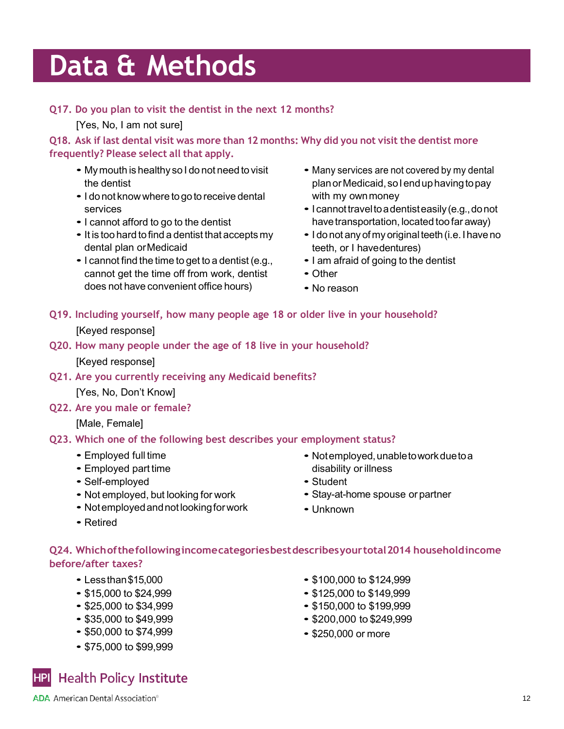Oral Health and Well-Being in the United States

#### **Q17. Do you plan to visit the dentist in the next 12 months?**

[Yes, No, I am not sure]

Q18. Ask if last dental visit was more than 12 months: Why did you not visit the dentist more **frequently? Please select all that apply.**

- My mouth is healthy so I do not need to visit the dentist
- I do not know where to go to receive dental services
- <sup>I</sup> cannot afford to go to the dentist
- It is too hard to find <sup>a</sup> dentist that accepts my dental plan orMedicaid
- <sup>I</sup> cannot find the time to get to <sup>a</sup> dentist (e.g., cannot get the time off from work, dentist does not have convenient office hours)
- Many services are not covered by my dental plan or Medicaid, so I end up having to pay with my ownmoney
- I cannot travel to a dentist easily (e.g., do not have transportation, located too far away)
- I do not any of my original teeth (i.e. I have no teeth, or I havedentures)
- <sup>I</sup> am afraid of going to the dentist
- Other
- No reason

#### **Q19. Including yourself, how many people age 18 or older live in your household?**

[Keyed response]

**Q20. How many people under the age of 18 live in your household?**

[Keyed response]

**Q21. Are you currently receiving any Medicaid benefits?**

[Yes, No, Don't Know]

**Q22. Are you male or female?**

[Male, Female]

#### **Q23. Which one of the following best describes your employment status?**

- Employed full time
- Employed part time
- Self-employed
- Not employed, but looking for work
- Notemployed and not looking for work
- Retired
- Notemployed, unableto work due to a disability or illness
- Student
- Stay-at-home spouse or partner
- Unknown

#### **Q24. Whichofthefollowingincomecategoriesbestdescribesyourtotal2014 householdincome before/after taxes?**

- Lessthan\$15,000
- \$15,000 to \$24,999
- \$25,000 to \$34,999
- \$35,000 to \$49,999
- \$50,000 to \$74,999
- \$75,000 to \$99,999
- \$100,000 to \$124,999
- \$125,000 to \$149,999
- \$150,000 to \$199,999
- \$200,000 to \$249,999
- \$250,000 or more

**Health Policy Institute HPI**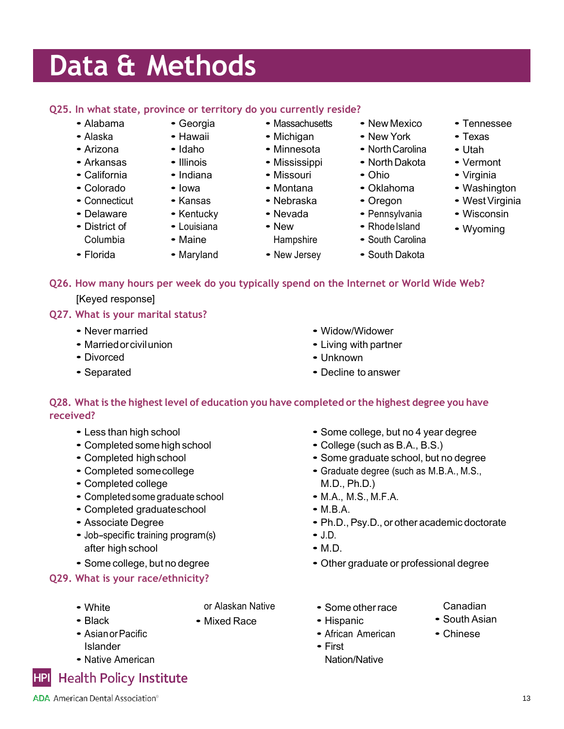Oral Health and Well-Being in the United States

#### **Q25. In what state, province or territory do you currently reside?**

• Georgia • Hawaii

- Alabama
- Alaska
- Arizona
- Arkansas • California
- 
- Colorado
- Connecticut
- Delaware
- District of Columbia

• Florida

- Idaho • Illinois
- Indiana
- Iowa
- Kansas
- Kentucky
- Louisiana • Maine
- Maryland

• Mississippi

• Massachusetts • Michigan

- 
- 
- 
- 
- 
- New Mexico
- New York
- North Carolina
- North Dakota
- Ohio
- Oklahoma
- Oregon
- Pennsylvania
- Rhode Island
- South Carolina
- South Dakota

• Some college, but no 4 year degree

• Some graduate school, but no degree • Graduate degree (such as M.B.A., M.S.,

• Ph.D., Psy.D., or other academic doctorate

• College (such as B.A., B.S.)

- Tennessee
- Texas
- Utah
- Vermont
- Virginia
- Washington
- West Virginia
- Wisconsin
- Wyoming
- **Q26. How many hours per week do you typically spend on the Internet or World Wide Web?**

[Keyed response]

#### **Q27. What is your marital status?**

- Never married
- Marriedorcivilunion
- Divorced
- Separated
- Widow/Widower
- 
- Unknown
- Decline to answer

#### **Q28. What is the highestlevel of education you have completed or the highest degree you have received?**

- Less than high school
- Completed some high school
- Completed highschool
- Completed somecollege
- Completed college
- Completed some graduate school
- Completed graduateschool
- Associate Degree
- Job-specific training program(s) after high school
- Some college, but no degree

#### **Q29. What is your race/ethnicity?**

• White • Black

- or Alaskan Native
- Mixed Race
- AsianorPacific Islander
- Native American

#### **HPI Health Policy Institute**

• Other graduate or professional degree

M.D., Ph.D.) • M.A., M.S., M.F.A.

• M.B.A.

 $\bullet$  J.D. • M.D.

- Some otherrace
- Hispanic
- African American
- First
- Nation/Native
- Canadian
- South Asian
- Chinese
- 13
- Minnesota
	- Missouri
	- Montana
	- Nebraska
	- Nevada
	- **Hampshire**
	- New Jersey
- 
- New
	- -
- 
- -
- - Living with partner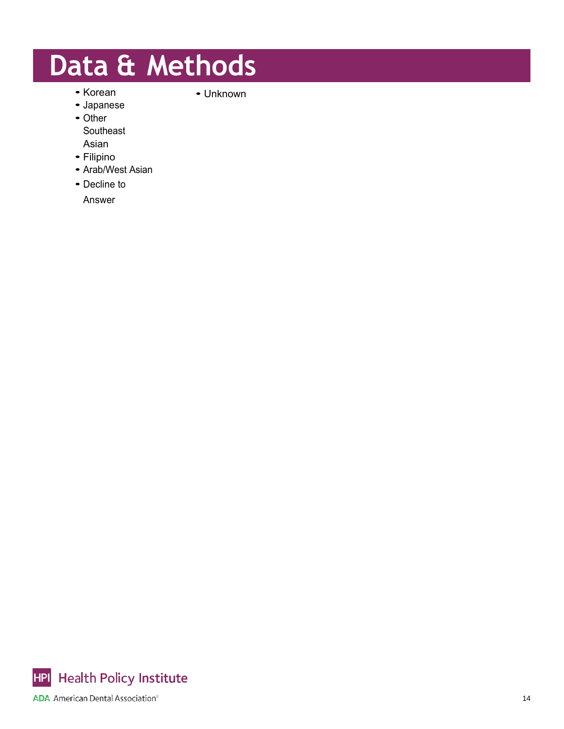• Korean

- Unknown
- Japanese
- Other **Southeast** Asian
- Filipino
- Arab/West Asian
- Decline to
	- Answer

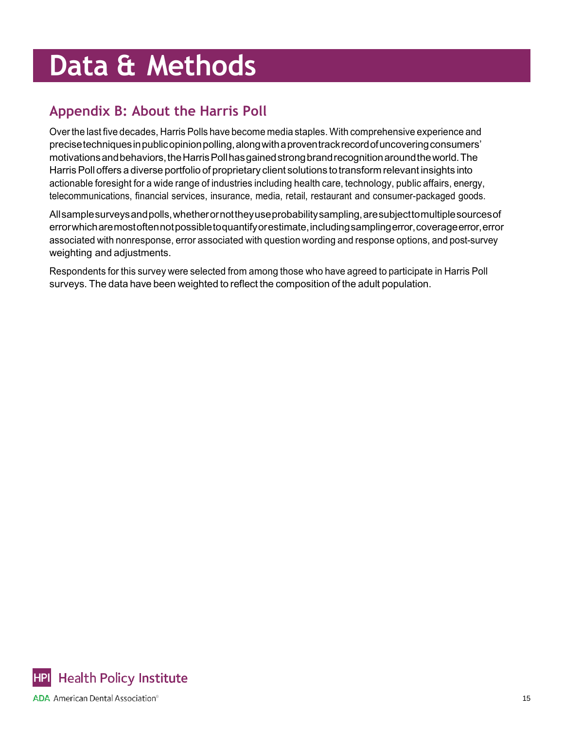## **Appendix B: About the Harris Poll**

Overthe last five decades, Harris Polls have become media staples. With comprehensive experience and precise techniques in public opinion polling, along with a proventrack record of uncovering consumers' motivationsandbehaviors,theHarrisPollhasgainedstrongbrandrecognitionaroundtheworld.The Harris Poll offers a diverse portfolio of proprietary client solutions to transform relevant insights into actionable foresight for a wide range of industries including health care, technology, public affairs, energy, telecommunications, financial services, insurance, media, retail, restaurant and consumer-packaged goods.

Allsamplesurveysandpolls,whetherornottheyuseprobabilitysampling,aresubjecttomultiplesourcesof errorwhicharemostoftennotpossibletoquantifyorestimate,includingsamplingerror,coverageerror,error associated with nonresponse, error associated with question wording and response options, and post-survey weighting and adjustments.

Respondents for this survey were selected from among those who have agreed to participate in Harris Poll surveys. The data have been weighted to reflect the composition of the adult population.